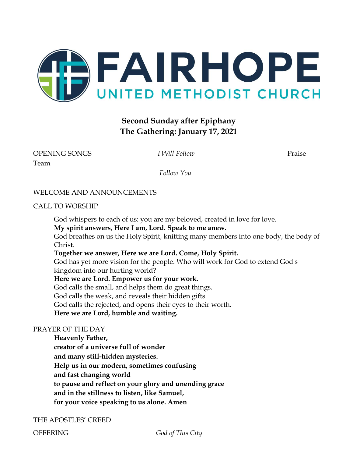

# **Second Sunday after Epiphany The Gathering: January 17, 2021**

### OPENING SONGS *I Will Follow* Praise Team

*Follow You*

### WELCOME AND ANNOUNCEMENTS

### CALL TO WORSHIP

God whispers to each of us: you are my beloved, created in love for love.

**My spirit answers, Here I am, Lord. Speak to me anew.**

God breathes on us the Holy Spirit, knitting many members into one body, the body of Christ.

### **Together we answer, Here we are Lord. Come, Holy Spirit.**

God has yet more vision for the people. Who will work for God to extend God's kingdom into our hurting world?

**Here we are Lord. Empower us for your work.**

God calls the small, and helps them do great things.

God calls the weak, and reveals their hidden gifts.

God calls the rejected, and opens their eyes to their worth.

**Here we are Lord, humble and waiting.**

### PRAYER OF THE DAY

**Heavenly Father, creator of a universe full of wonder and many still-hidden mysteries. Help us in our modern, sometimes confusing and fast changing world to pause and reflect on your glory and unending grace and in the stillness to listen, like Samuel, for your voice speaking to us alone. Amen**

### THE APOSTLES' CREED

OFFERING *God of This City*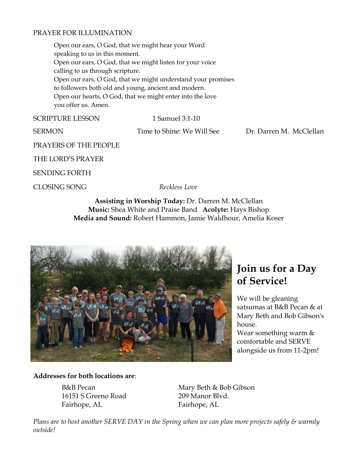### PRAYER FOR ILLUMINATION

Open our ears, O God, that we might hear your Word speaking to us in this moment. Open our ears, O God, that we might listen for your voice calling to us through scripture. Open our ears, O God, that we might understand your promises to followers both old and young, ancient and modern. Open our hearts, O God, that we might enter into the love you offer us. Amen.

SCRIPTURE LESSON 1 Samuel 3:1-10

SERMON Time to Shine: We Will SeeDr. Darren M. McClellan

PRAYERS OF THE PEOPLE

THE LORD'S PRAYER

SENDING FORTH

CLOSING SONG *Reckless Love*

**Assisting in Worship Today:** Dr. Darren M. McClellan **Music:** Shea White and Praise Band **Acolyte:** Hays Bishop **Media and Sound:** Robert Hammon, Jamie Waldhour, Amelia Koser



# **Join us for a Day of Service!**

We will be gleaning satsumas at B&B Pecan & at Mary Beth and Bob Gibson's house. Wear something warm & comfortable and SERVE alongside us from 11-2pm!

### **Addresses for both locations are**:

16151 S Greeno Road 209 Manor Blvd. Fairhope, AL Fairhope, AL

B&B Pecan Mary Beth & Bob Gibson

*Plans are to host another SERVE DAY in the Spring when we can plan more projects safely & warmly outside!*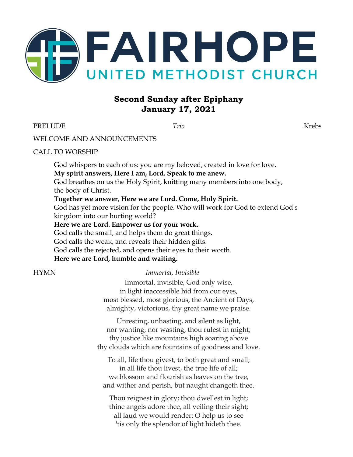

# **Second Sunday after Epiphany January 17, 2021**

PRELUDE *Trio* Krebs

### WELCOME AND ANNOUNCEMENTS

### CALL TO WORSHIP

God whispers to each of us: you are my beloved, created in love for love. **My spirit answers, Here I am, Lord. Speak to me anew.** God breathes on us the Holy Spirit, knitting many members into one body, the body of Christ. **Together we answer, Here we are Lord. Come, Holy Spirit.**

God has yet more vision for the people. Who will work for God to extend God's kingdom into our hurting world?

**Here we are Lord. Empower us for your work.**

God calls the small, and helps them do great things. God calls the weak, and reveals their hidden gifts. God calls the rejected, and opens their eyes to their worth.

**Here we are Lord, humble and waiting.**

### HYMN *Immortal, Invisible*

Immortal, invisible, God only wise, in light inaccessible hid from our eyes, most blessed, most glorious, the Ancient of Days, almighty, victorious, thy great name we praise.

Unresting, unhasting, and silent as light, nor wanting, nor wasting, thou rulest in might; thy justice like mountains high soaring above thy clouds which are fountains of goodness and love.

To all, life thou givest, to both great and small; in all life thou livest, the true life of all; we blossom and flourish as leaves on the tree, and wither and perish, but naught changeth thee.

Thou reignest in glory; thou dwellest in light; thine angels adore thee, all veiling their sight; all laud we would render: O help us to see 'tis only the splendor of light hideth thee.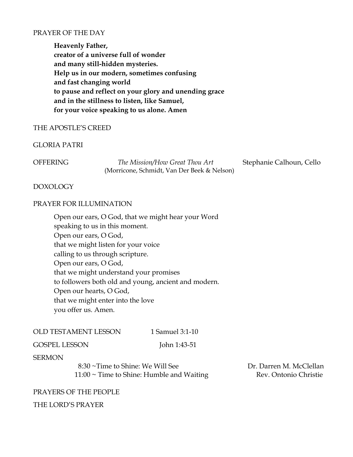### PRAYER OF THE DAY

**Heavenly Father, creator of a universe full of wonder and many still-hidden mysteries. Help us in our modern, sometimes confusing and fast changing world to pause and reflect on your glory and unending grace and in the stillness to listen, like Samuel, for your voice speaking to us alone. Amen**

### THE APOSTLE'S CREED

### GLORIA PATRI

OFFERING *The Mission/How Great Thou Art* Stephanie Calhoun, Cello (Morricone, Schmidt, Van Der Beek & Nelson)

### DOXOLOGY

### PRAYER FOR ILLUMINATION

Open our ears, O God, that we might hear your Word speaking to us in this moment. Open our ears, O God, that we might listen for your voice calling to us through scripture. Open our ears, O God, that we might understand your promises to followers both old and young, ancient and modern. Open our hearts, O God, that we might enter into the love you offer us. Amen.

| <b>OLD TESTAMENT LESSON</b> | 1 Samuel 3:1-10 |
|-----------------------------|-----------------|
|                             |                 |

| <b>GOSPEL LESSON</b> | John 1:43-51 |
|----------------------|--------------|
|----------------------|--------------|

### SERMON

 8:30 ~Time to Shine: We Will See Dr. Darren M. McClellan  $11:00 \sim$  Time to Shine: Humble and Waiting Rev. Ontonio Christie

### PRAYERS OF THE PEOPLE

### THE LORD'S PRAYER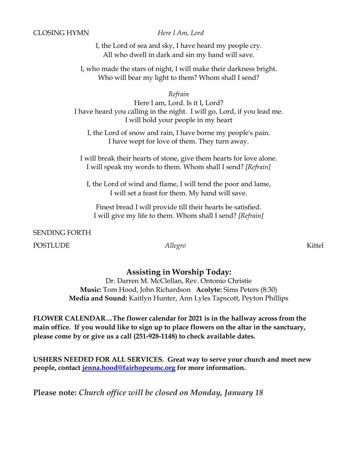### CLOSING HYMN *Here I Am, Lord*

I, the Lord of sea and sky, [I have heard my people cry.](https://genius.com/Dan-schutte-here-i-am-lord-lyrics#note-13556676) All who dwell in dark and sin my hand will save.

I, who made the stars of night, I will make their darkness bright. [Who will bear my light to them?](https://genius.com/Dan-schutte-here-i-am-lord-lyrics#note-13556533) Whom shall I send?

*Refrain*

[Here I am, Lord. Is it I, Lord?](https://genius.com/Dan-schutte-here-i-am-lord-lyrics#note-13428944) [I have heard you calling in the night.](https://genius.com/Dan-schutte-here-i-am-lord-lyrics#note-13428944) I will go, Lord, if you lead me. I will hold your people in my heart

I, the Lord of snow and rain, I have borne my people's pain. I have wept for love of them. They turn away.

[I will break their hearts of stone, give them hearts for love alone.](https://genius.com/Dan-schutte-here-i-am-lord-lyrics#note-13556596) [I will speak my words to them. Whom shall I send?](https://genius.com/Dan-schutte-here-i-am-lord-lyrics#note-13556533) *[Refrain]*

I, the Lord of wind and flame, [I will tend the poor and lame,](https://genius.com/Dan-schutte-here-i-am-lord-lyrics#note-13556436) [I will set a feast for them. My hand will save.](https://genius.com/Dan-schutte-here-i-am-lord-lyrics#note-13556436)

Finest bread I will provide till their hearts be satisfied. I will give my life to them. [Whom shall I send?](https://genius.com/Dan-schutte-here-i-am-lord-lyrics#note-13556533) *[Refrain]*

SENDING FORTH

POSTLUDE *Allegro* Kittel

### **Assisting in Worship Today:**

Dr. Darren M. McClellan, Rev. Ontonio Christie **Music:** Tom Hood, John Richardson **Acolyte:** Sims Peters (8:30) **Media and Sound:** Kaitlyn Hunter, Ann Lyles Tapscott, Peyton Phillips

**FLOWER CALENDAR…The flower calendar for 2021 is in the hallway across from the main office. If you would like to sign up to place flowers on the altar in the sanctuary, please come by or give us a call (251-928-1148) to check available dates.**

**USHERS NEEDED FOR ALL SERVICES. Great way to serve your church and meet new people, contact [jenna.hood@fairhopeumc.org](mailto:jenna.hood@fairhopeumc.org) for more information.**

**Please note:** *Church office will be closed on Monday, January 18*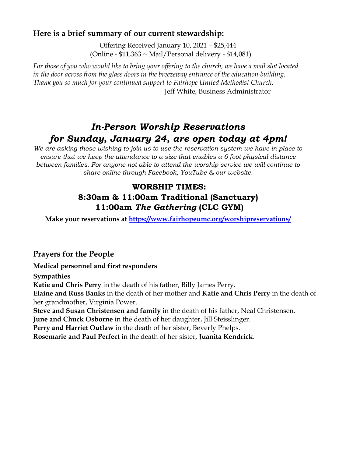# **Here is a brief summary of our current stewardship:**

Offering Received January 10, 2021 – \$25,444 (Online - \$11,363 ~ Mail/Personal delivery - \$14,081)

*For those of you who would like to bring your offering to the church, we have a mail slot located in the door across from the glass doors in the breezeway entrance of the education building. Thank you so much for your continued support to Fairhope United Methodist Church.* Jeff White, Business Administrator

# *In-Person Worship Reservations for Sunday, January 24, are open today at 4pm!*

*We are asking those wishing to join us to use the reservation system we have in place to ensure that we keep the attendance to a size that enables a 6 foot physical distance between families. For anyone not able to attend the worship service we will continue to share online through Facebook, YouTube & our website.*

# **WORSHIP TIMES: 8:30am & 11:00am Traditional (Sanctuary) 11:00am** *The Gathering* **(CLC GYM)**

**Make your reservations at<https://www.fairhopeumc.org/worshipreservations/>**

# **Prayers for the People**

# **Medical personnel and first responders**

**Sympathies Katie and Chris Perry** in the death of his father, Billy James Perry. **Elaine and Russ Banks** in the death of her mother and **Katie and Chris Perry** in the death of her grandmother, Virginia Power. **Steve and Susan Christensen and family** in the death of his father, Neal Christensen. **June and Chuck Osborne** in the death of her daughter, Jill Steisslinger. **Perry and Harriet Outlaw** in the death of her sister, Beverly Phelps.

**Rosemarie and Paul Perfect** in the death of her sister, **Juanita Kendrick**.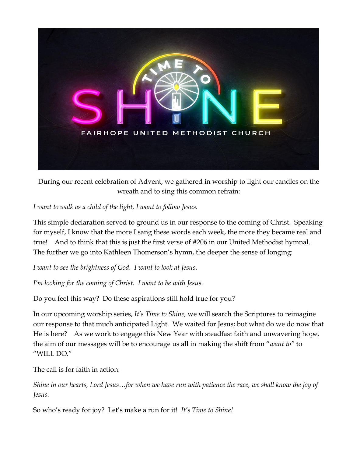

During our recent celebration of Advent, we gathered in worship to light our candles on the wreath and to sing this common refrain:

*I want to walk as a child of the light, I want to follow Jesus.*

This simple declaration served to ground us in our response to the coming of Christ. Speaking for myself, I know that the more I sang these words each week, the more they became real and true! And to think that this is just the first verse of #206 in our United Methodist hymnal. The further we go into Kathleen Thomerson's hymn, the deeper the sense of longing:

*I want to see the brightness of God. I want to look at Jesus.*

*I'm looking for the coming of Christ. I want to be with Jesus.*

Do you feel this way? Do these aspirations still hold true for you?

In our upcoming worship series, *It's Time to Shine,* we will search the Scriptures to reimagine our response to that much anticipated Light. We waited for Jesus; but what do we do now that He is here? As we work to engage this New Year with steadfast faith and unwavering hope, the aim of our messages will be to encourage us all in making the shift from "*want to"* to "WILL DO."

The call is for faith in action:

*Shine in our hearts, Lord Jesus…for when we have run with patience the race, we shall know the joy of Jesus.*

So who's ready for joy? Let's make a run for it! *It's Time to Shine!*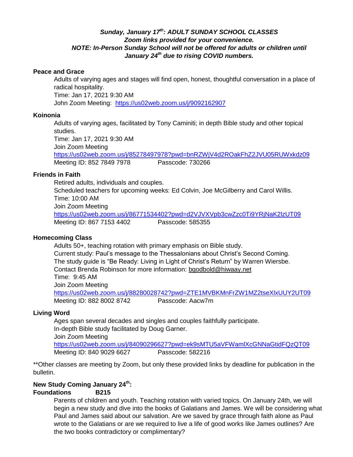### *Sunday, January 17 th: ADULT SUNDAY SCHOOL CLASSES Zoom links provided for your convenience. NOTE: In-Person Sunday School will not be offered for adults or children until January 24th due to rising COVID numbers.*

#### **Peace and Grace**

Adults of varying ages and stages will find open, honest, thoughtful conversation in a place of radical hospitality. Time: Jan 17, 2021 9:30 AM John Zoom Meeting: <https://us02web.zoom.us/j/9092162907>

#### **Koinonia**

Adults of varying ages, facilitated by Tony Caminiti; in depth Bible study and other topical studies.

Time: Jan 17, 2021 9:30 AM Join Zoom Meeting <https://us02web.zoom.us/j/85278497978?pwd=bnRZWjV4d2ROakFhZ2JVU05RUWxkdz09> Meeting ID: 852 7849 7978 Passcode: 730266

### **Friends in Faith**

Retired adults, individuals and couples. Scheduled teachers for upcoming weeks: Ed Colvin, Joe McGilberry and Carol Willis. Time: 10:00 AM Join Zoom Meeting <https://us02web.zoom.us/j/86771534402?pwd=d2VJVXVpb3cwZzc0Ti9YRjNaK2lzUT09> Meeting ID: 867 7153 4402 Passcode: 585355

### **Homecoming Class**

Adults 50+, teaching rotation with primary emphasis on Bible study. Current study: Paul's message to the Thessalonians about Christ's Second Coming. The study guide is "Be Ready: Living in Light of Christ's Return" by Warren Wiersbe. Contact Brenda Robinson for more information: [bgodbold@hiwaay.net](mailto:bgodbold@hiwaay.net) Time: 9:45 AM Join Zoom Meeting <https://us02web.zoom.us/j/88280028742?pwd=ZTE1MVBKMnFrZW1MZ2tseXlxUUY2UT09> Meeting ID: 882 8002 8742 Passcode: Aacw7m

### **Living Word**

Ages span several decades and singles and couples faithfully participate. In-depth Bible study facilitated by Doug Garner. Join Zoom Meeting <https://us02web.zoom.us/j/84090296627?pwd=ek9sMTU5aVFWamlXcGNNaGtidFQzQT09> Meeting ID: 840 9029 6627 Passcode: 582216

\*\*Other classes are meeting by Zoom, but only these provided links by deadline for publication in the bulletin.

### **New Study Coming January 24th:**

### **Foundations B215**

Parents of children and youth. Teaching rotation with varied topics. On January 24th, we will begin a new study and dive into the books of Galatians and James. We will be considering what Paul and James said about our salvation. Are we saved by grace through faith alone as Paul wrote to the Galatians or are we required to live a life of good works like James outlines? Are the two books contradictory or complimentary?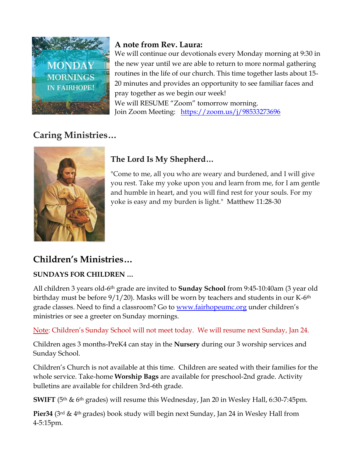

# **A note from Rev. Laura:**

We will continue our devotionals every Monday morning at 9:30 in the new year until we are able to return to more normal gathering routines in the life of our church. This time together lasts about 15- 20 minutes and provides an opportunity to see familiar faces and pray together as we begin our week! We will RESUME "Zoom" tomorrow morning. Join Zoom Meeting: <https://zoom.us/j/98533273696>

# **Caring Ministries…**



# **The Lord Is My Shepherd…**

"Come to me, all you who are weary and burdened, and I will give you rest. Take my yoke upon you and learn from me, for I am gentle and humble in heart, and you will find rest for your souls. For my yoke is easy and my burden is light." [Matthew 11:28-30](http://www.biblica.com/en-us/bible/online-bible/niv/matthew/11/)

# **Children's Ministries…**

# **SUNDAYS FOR CHILDREN …**

All children 3 years old-6th grade are invited to **Sunday School** from 9:45-10:40am (3 year old birthday must be before  $9/1/20$ ). Masks will be worn by teachers and students in our K-6<sup>th</sup> grade classes. Need to find a classroom? Go to [www.fairhopeumc.org](http://www.fairhopeumc.org/) under children's ministries or see a greeter on Sunday mornings.

Note: Children's Sunday School will not meet today. We will resume next Sunday, Jan 24.

Children ages 3 months-PreK4 can stay in the **Nursery** during our 3 worship services and Sunday School.

Children's Church is not available at this time. Children are seated with their families for the whole service. Take-home **Worship Bags** are available for preschool-2nd grade. Activity bulletins are available for children 3rd-6th grade.

**SWIFT** (5<sup>th</sup> & 6<sup>th</sup> grades) will resume this Wednesday, Jan 20 in Wesley Hall, 6:30-7:45pm.

**Pier34** (3rd & 4th grades) book study will begin next Sunday, Jan 24 in Wesley Hall from 4-5:15pm.